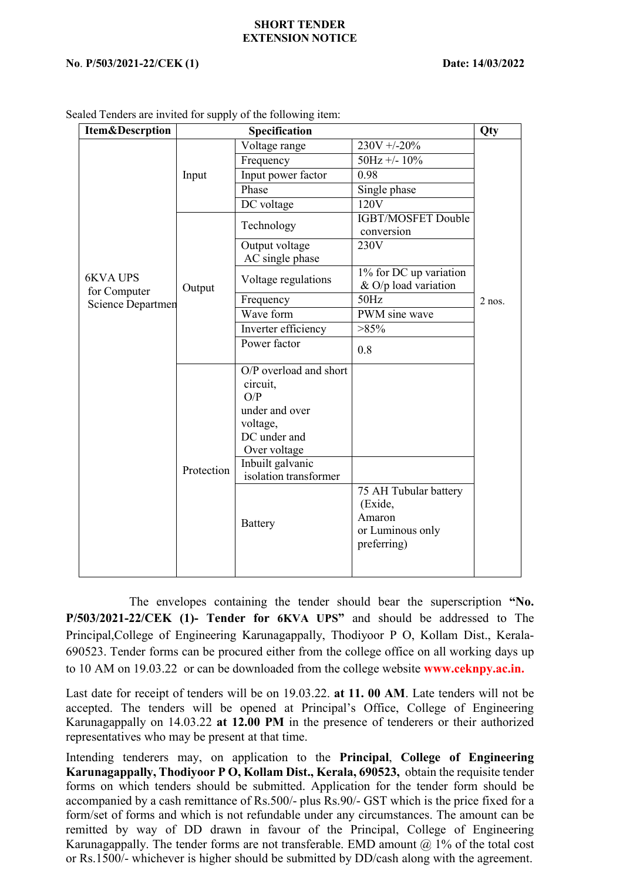## **SHORT TENDER EXTENSION NOTICE**

## **No**. **P/503/2021-22/CEK (1) Date: 14/03/2022**

| <b>Item&amp;Descrption</b>                           |            | Specification                                                                                           |                                                                               | Qty      |
|------------------------------------------------------|------------|---------------------------------------------------------------------------------------------------------|-------------------------------------------------------------------------------|----------|
|                                                      | Input      | Voltage range                                                                                           | $230V + -20%$                                                                 | $2$ nos. |
| <b>6KVA UPS</b><br>for Computer<br>Science Departmen |            | Frequency                                                                                               | $50Hz + - 10%$                                                                |          |
|                                                      |            | Input power factor                                                                                      | 0.98                                                                          |          |
|                                                      |            | Phase                                                                                                   | Single phase                                                                  |          |
|                                                      |            | DC voltage                                                                                              | 120V                                                                          |          |
|                                                      | Output     | Technology                                                                                              | IGBT/MOSFET Double<br>conversion                                              |          |
|                                                      |            | Output voltage<br>AC single phase                                                                       | 230V                                                                          |          |
|                                                      |            | Voltage regulations                                                                                     | 1% for DC up variation<br>& O/p load variation                                |          |
|                                                      |            | Frequency                                                                                               | 50Hz                                                                          |          |
|                                                      |            | Wave form                                                                                               | PWM sine wave                                                                 |          |
|                                                      |            | Inverter efficiency                                                                                     | >85%                                                                          |          |
|                                                      |            | Power factor                                                                                            | 0.8                                                                           |          |
|                                                      | Protection | O/P overload and short<br>circuit,<br>O/P<br>under and over<br>voltage,<br>DC under and<br>Over voltage |                                                                               |          |
|                                                      |            | Inbuilt galvanic<br>isolation transformer                                                               |                                                                               |          |
|                                                      |            | Battery                                                                                                 | 75 AH Tubular battery<br>(Exide,<br>Amaron<br>or Luminous only<br>preferring) |          |

Sealed Tenders are invited for supply of the following item:

The envelopes containing the tender should bear the superscription **"No. P/503/2021-22/CEK (1)- Tender for 6KVA UPS"** and should be addressed to The Principal,College of Engineering Karunagappally, Thodiyoor P O, Kollam Dist., Kerala- 690523. Tender forms can be procured either from the college office on all working daysup to 10 AM on 19.03.22 or can be downloaded from the college website **[www.ceknpy.ac.in.](http://www.ceknpy.ac.in/)**

Last date for receipt of tenders will be on 19.03.22. **at 11.00 AM**. Late tenders will not be accepted. The tenders will be opened at Principal's Office, College of Engineering Karunagappally on 14.03.22 **at 12.00 PM** in the presence of tenderers or their authorized representatives who may be present at that time.

Intending tenderers may, on application to the **Principal**, College of Engineering **Karunagappally, Thodiyoor P O, Kollam Dist., Kerala, 690523,** obtain the requisite tender forms on which tenders should be submitted. Application for the tender form should be accompanied by a cash remittance of Rs.500/- plus Rs.90/- GST which is the price fixed for a form/set of forms and which is not refundable under any circumstances. The amount can be remitted by way of DD drawn in favour of the Principal, College of Engineering Karunagappally. The tender forms are not transferable. EMD amount  $@$  1% of the total cost or Rs.1500/- whichever is higher should be submitted by DD/cash along with the agreement.